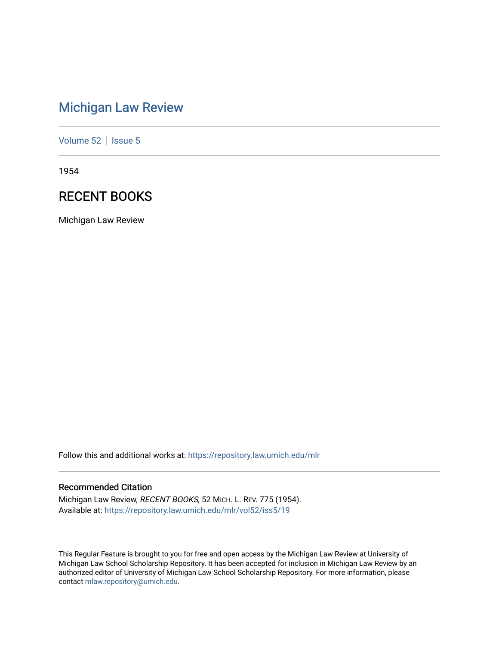# [Michigan Law Review](https://repository.law.umich.edu/mlr)

[Volume 52](https://repository.law.umich.edu/mlr/vol52) | [Issue 5](https://repository.law.umich.edu/mlr/vol52/iss5)

1954

## RECENT BOOKS

Michigan Law Review

Follow this and additional works at: [https://repository.law.umich.edu/mlr](https://repository.law.umich.edu/mlr?utm_source=repository.law.umich.edu%2Fmlr%2Fvol52%2Fiss5%2F19&utm_medium=PDF&utm_campaign=PDFCoverPages) 

## Recommended Citation

Michigan Law Review, RECENT BOOKS, 52 MICH. L. REV. 775 (1954). Available at: [https://repository.law.umich.edu/mlr/vol52/iss5/19](https://repository.law.umich.edu/mlr/vol52/iss5/19?utm_source=repository.law.umich.edu%2Fmlr%2Fvol52%2Fiss5%2F19&utm_medium=PDF&utm_campaign=PDFCoverPages) 

This Regular Feature is brought to you for free and open access by the Michigan Law Review at University of Michigan Law School Scholarship Repository. It has been accepted for inclusion in Michigan Law Review by an authorized editor of University of Michigan Law School Scholarship Repository. For more information, please contact [mlaw.repository@umich.edu](mailto:mlaw.repository@umich.edu).